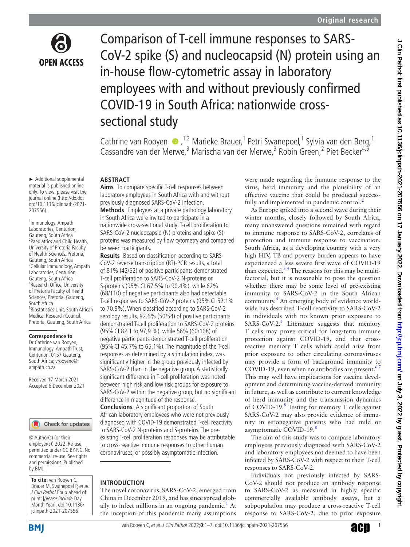

► Additional supplemental material is published online only. To view, please visit the journal online ([http://dx.doi.](http://dx.doi.org/10.1136/jclinpath-2021-207556) [org/10.1136/jclinpath-2021-](http://dx.doi.org/10.1136/jclinpath-2021-207556)

1 Immunology, Ampath Laboratories, Centurion, Gauteng, South Africa 2 Paediatrics and Child Health, University of Pretoria Faculty of Health Sciences, Pretoria, Gauteng, South Africa <sup>3</sup>Cellular Immunology, Ampath Laboratories, Centurion, Gauteng, South Africa 4 Research Office, University of Pretoria Faculty of Health Sciences, Pretoria, Gauteng,

[207556](http://dx.doi.org/10.1136/jclinpath-2021-207556)).

South Africa

5 Biostatistics Unit, South African Medical Research Council, Pretoria, Gauteng, South Africa

**Correspondence to** Dr Cathrine van Rooyen, Immunology, Ampath Trust, Centurion, 0157 Gauteng, South Africa; vrooyenc@ ampath.co.za

Received 17 March 2021 Accepted 6 December 2021

Comparison of T-cell immune responses to SARS-CoV-2 spike (S) and nucleocapsid (N) protein using an in-house flow-cytometric assay in laboratory employees with and without previously confirmed COVID-19 in South Africa: nationwide crosssectional study

Cathrine van Rooyen  $\bullet$ , <sup>1,2</sup> Marieke Brauer, <sup>1</sup> Petri Swanepoel, <sup>1</sup> Sylvia van den Berg, <sup>1</sup> Cassandre van der Merwe,<sup>3</sup> Marischa van der Merwe,<sup>3</sup> Robin Green,<sup>2</sup> Piet Becker<sup>4,5</sup>

### **ABSTRACT**

**Aims** To compare specific T-cell responses between laboratory employees in South Africa with and without previously diagnosed SARS-CoV-2 infection.

**Methods** Employees at a private pathology laboratory in South Africa were invited to participate in a nationwide cross-sectional study. T-cell proliferation to SARS-CoV-2 nucleocapsid (N)-proteins and spike (S) proteins was measured by flow cytometry and compared between participants.

**Results** Based on classification according to SARS-CoV-2 reverse transcription (RT)-PCR results, a total of 81% (42/52) of positive participants demonstrated T-cell proliferation to SARS-CoV-2 N-proteins or S-proteins (95% CI 67.5% to 90.4%), while 62% (68/110) of negative participants also had detectable T-cell responses to SARS-CoV-2 proteins (95%CI 52.1% to 70.9%). When classified according to SARS-CoV-2 serology results, 92.6% (50/54) of positive participants demonstrated T-cell proliferation to SARS-CoV-2 proteins (95%CI 82.1 to 97,9 %), while 56% (60/108) of negative participants demonstrated T-cell proliferation (95%CI 45.7% to 65.1%). The magnitude of the T-cell responses as determined by a stimulation index, was significantly higher in the group previously infected by SARS-CoV-2 than in the negative group. A statistically significant difference in T-cell proliferation was noted between high risk and low risk groups for exposure to SARS-CoV-2 within the negative group, but no significant difference in magnitude of the response.

**Conclusions** A significant proportion of South African laboratory employees who were not previously diagnosed with COVID-19 demonstrated T-cell reactivity to SARS-CoV-2 N-proteins and S-proteins. The preexisting T-cell proliferation responses may be attributable to cross-reactive immune responses to other human coronaviruses, or possibly asymptomatic infection.

### **INTRODUCTION**

The novel coronavirus, SARS-CoV-2, emerged from China in December 2019, and has since spread globally to infect millions in an ongoing pandemic.<sup>1</sup> At the inception of this pandemic many assumptions

were made regarding the immune response to the virus, herd immunity and the plausibility of an effective vaccine that could be produced successfully and implemented in pandemic control.<sup>2</sup>

As Europe spiked into a second wave during their winter months, closely followed by South Africa, many unanswered questions remained with regard to immune response to SARS-CoV-2, correlates of protection and immune response to vaccination. South Africa, as a developing country with a very high HIV, TB and poverty burden appears to have experienced a less severe first wave of COVID-19 than expected. $3<sup>4</sup>$  The reasons for this may be multifactorial, but it is reasonable to pose the question whether there may be some level of pre-existing immunity to SARS-CoV-2 in the South African community. [4](#page-6-3) An emerging body of evidence worldwide has described T-cell reactivity to SARS-CoV-2 in individuals with no known prior exposure to SARS-CoV-2. $^5$  $^5$  Literature suggests that memory T cells may prove critical for long-term immune protection against COVID-19, and that crossreactive memory T cells which could arise from prior exposure to other circulating coronaviruses may provide a form of background immunity to COVID-19, even when no antibodies are present. $6'$ This may well have implications for vaccine development and determining vaccine-derived immunity in future, as well as contribute to current knowledge of herd immunity and the transmission dynamics of COVID-19. $8$  Testing for memory T cells against SARS-CoV-2 may also provide evidence of immunity in seronegative patients who had mild or asymptomatic COVID-19.<sup>8</sup>

The aim of this study was to compare laboratory employees previously diagnosed with SARS-CoV-2 and laboratory employees not deemed to have been infected by SARS-CoV-2 with respect to their T-cell responses to SARS-CoV-2.

Individuals not previously infected by SARS-CoV-2 should not produce an antibody response to SARS-CoV-2 as measured in highly specific commercially available antibody assays, but a subpopulation may produce a cross-reactive T-cell response to SARS-CoV-2, due to prior exposure

**BMI** 

by BMJ.

**To cite:** van Rooyen C, Brauer M, Swanepoel P, et al. J Clin Pathol Epub ahead of print: [please include Day Month Year]. doi:10.1136/ jclinpath-2021-207556

© Author(s) (or their employer(s)) 2022. Re-use permitted under CC BY-NC. No commercial re-use. See rights and permissions. Published

Check for updates

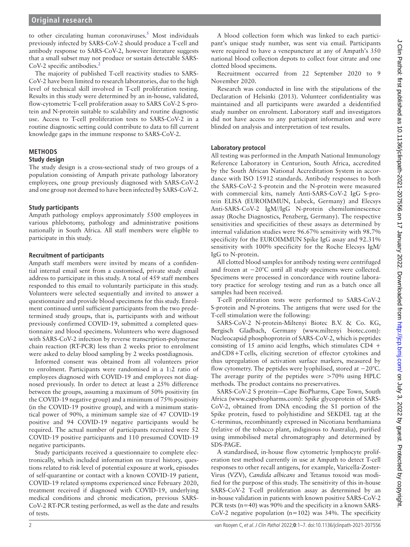to other circulating human coronaviruses.<sup>5</sup> Most individuals previously infected by SARS-CoV-2 should produce a T-cell and antibody response to SARS-CoV-2, however literature suggests that a small subset may not produce or sustain detectable SARS-CoV-[2](#page-6-1) specific antibodies.<sup>2</sup>

The majority of published T-cell reactivity studies to SARS-CoV-2 have been limited to research laboratories, due to the high level of technical skill involved in T-cell proliferation testing. Results in this study were determined by an in-house, validated, flow-cytometric T-cell proliferation assay to SARS CoV-2 S-protein and N-protein suitable to scalability and routine diagnostic use. Access to T-cell proliferation tests to SARS-CoV-2 in a routine diagnostic setting could contribute to data to fill current knowledge gaps in the immune response to SARS-CoV-2.

# **METHODS**

### **Study design**

The study design is a cross-sectional study of two groups of a population consisting of Ampath private pathology laboratory employees, one group previously diagnosed with SARS-CoV-2 and one group not deemed to have been infected by SARS-CoV-2.

## **Study participants**

Ampath pathology employs approximately 5500 employees in various phlebotomy, pathology and administrative positions nationally in South Africa. All staff members were eligible to participate in this study.

### **Recruitment of participants**

Ampath staff members were invited by means of a confidential internal email sent from a customised, private study email address to participate in this study. A total of 459 staff members responded to this email to voluntarily participate in this study. Volunteers were selected sequentially and invited to answer a questionnaire and provide blood specimens for this study. Enrolment continued until sufficient participants from the two predetermined study groups, that is, participants with and without previously confirmed COVID-19, submitted a completed questionnaire and blood specimens. Volunteers who were diagnosed with SARS-CoV-2 infection by reverse transcription-polymerase chain reaction (RT-PCR) less than 2 weeks prior to enrolment were asked to delay blood sampling by 2 weeks postdiagnosis.

Informed consent was obtained from all volunteers prior to enrolment. Participants were randomised in a 1:2 ratio of employees diagnosed with COVID-19 and employees not diagnosed previously. In order to detect at least a 25% difference between the groups, assuming a maximum of 50% positivity (in the COVID-19 negative group) and a minimum of 75% positivity (in the COVID-19 positive group), and with a minimum statistical power of 90%, a minimum sample size of 47 COVID-19 positive and 94 COVID-19 negative participants would be required. The actual number of participants recruited were 52 COVID-19 positive participants and 110 presumed COVID-19 negative participants.

Study participants received a questionnaire to complete electronically, which included information on travel history, questions related to risk level of potential exposure at work, episodes of self-quarantine or contact with a known COVID-19 patient, COVID-19 related symptoms experienced since February 2020, treatment received if diagnosed with COVID-19, underlying medical conditions and chronic medication, previous SARS-CoV-2 RT-PCR testing performed, as well as the date and results of tests.

A blood collection form which was linked to each participant's unique study number, was sent via email. Participants were required to have a venepuncture at any of Ampath's 350 national blood collection depots to collect four citrate and one clotted blood specimens.

Recruitment occurred from 22 September 2020 to 9 November 2020.

Research was conducted in line with the stipulations of the Declaration of Helsinki (2013). Volunteer confidentiality was maintained and all participants were awarded a deidentified study number on enrolment. Laboratory staff and investigators did not have access to any participant information and were blinded on analysis and interpretation of test results.

### **Laboratory protocol**

All testing was performed in the Ampath National Immunology Reference Laboratory in Centurion, South Africa, accredited by the South African National Accreditation System in accordance with ISO 15912 standards. Antibody responses to both the SARS-CoV-2 S-protein and the N-protein were measured with commercial kits, namely Anti-SARS-CoV-2 IgG S-protein ELISA (EUROIMMUN, Lubeck, Germany) and Elecsys Anti-SARS-CoV-2 IgM//IgG N-protein chemiluminescence assay (Roche Diagnostics, Penzberg, Germany). The respective sensitivities and specificities of these assays as determined by internal validation studies were 96.67% sensitivity with 98.7% specificity for the EUROIMMUN Spike IgG assay and 92.31% sensitivity with 100% specificity for the Roche Elecsys IgM/ IgG to N-protein.

All clotted blood samples for antibody testing were centrifuged and frozen at −20°C until all study specimens were collected. Specimens were processed in concordance with routine laboratory practice for serology testing and run as a batch once all samples had been received.

T-cell proliferation tests were performed to SARS-CoV-2 S-protein and N-proteins. The antigens that were used for the T-cell stimulation were the following:

SARS-CoV-2 N-protein-Miltenyi Biotec B.V. & Co. KG, Bergisch Gladbach, Germany (www.miltenyi biotec.com): Nucleocapsid phosphoprotein of SARS-CoV-2, which is peptides consisting of 15 amino acid lengths, which stimulates CD4 + and CD8+T cells, eliciting secretion of effector cytokines and thus upregulation of activation surface markers, measured by flow cytometry. The peptides were lyophilised, stored at −20°C. The average purity of the peptides were >70% using HPLC methods. The product contains no preservatives.

SARS-CoV-2 S protein—Cape BioPharms, Cape Town, South Africa (<www.capebiopharms.com>): Spike glycoprotein of SARS-CoV-2, obtained from DNA encoding the S1 portion of the Spike protein, fused to polyhistidine and SEKDEL tag at the C-terminus, recombinantly expressed in Nicotiana benthamiana (relative of the tobacco plant, indiginous to Australia), purified using immobilised metal chromatography and determined by SDS-PAGE.

A standardised, in-house flow cytometric lymphocyte proliferation test method currently in use at Ampath to detect T-cell responses to other recall antigens, for example, Varicella-Zoster-Virus (VZV), *Candida albicans* and Tetanus toxoid was modified for the purpose of this study. The sensitivity of this in-house SARS-CoV-2 T-cell proliferation assay as determined by an in-house validation in patients with known positive SARS-CoV-2 PCR tests (n=40) was 90% and the specificity in a known SARS-CoV-2 negative population ( $n=102$ ) was 34%. The specificity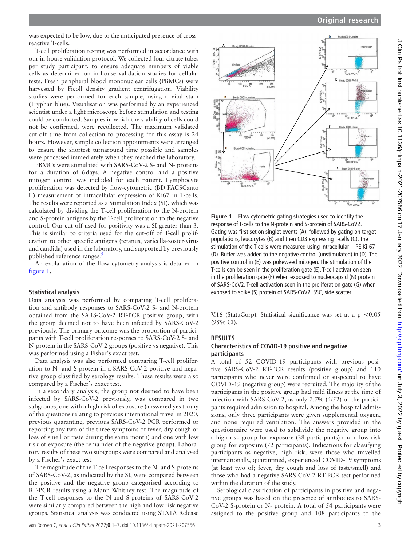was expected to be low, due to the anticipated presence of crossreactive T-cells.

T-cell proliferation testing was performed in accordance with our in-house validation protocol. We collected four citrate tubes per study participant, to ensure adequate numbers of viable cells as determined on in-house validation studies for cellular tests. Fresh peripheral blood mononuclear cells (PBMCs) were harvested by Ficoll density gradient centrifugation. Viability studies were performed for each sample, using a vital stain (Tryphan blue). Visualisation was performed by an experienced scientist under a light microscope before stimulation and testing could be conducted. Samples in which the viability of cells could not be confirmed, were recollected. The maximum validated cut-off time from collection to processing for this assay is 24 hours. However, sample collection appointments were arranged to ensure the shortest turnaround time possible and samples were processed immediately when they reached the laboratory.

PBMCs were stimulated with SARS-CoV-2 S- and N- proteins for a duration of 6days. A negative control and a positive mitogen control was included for each patient. Lymphocyte proliferation was detected by flow-cytometric (BD FACSCanto II) measurement of intracellular expression of Ki67 in T-cells. The results were reported as a Stimulation Index (SI), which was calculated by dividing the T-cell proliferation to the N-protein and S-protein antigens by the T-cell proliferation to the negative control. Our cut-off used for positivity was a SI greater than 3. This is similar to criteria used for the cut-off of T-cell proliferation to other specific antigens (tetanus, varicella-zoster-virus and candida) used in the laboratory, and supported by previously published reference ranges.<sup>9</sup>

An explanation of the flow cytometry analysis is detailed in [figure](#page-2-0) 1.

### **Statistical analysis**

Data analysis was performed by comparing T-cell proliferation and antibody responses to SARS-CoV-2 S- and N-protein obtained from the SARS-CoV-2 RT-PCR positive group, with the group deemed not to have been infected by SARS-CoV-2 previously. The primary outcome was the proportion of participants with T-cell proliferation responses to SARS-CoV-2 S- and N-protein in the SARS-CoV-2 groups (positive vs negative). This was performed using a Fisher's exact test.

Data analysis was also performed comparing T-cell proliferation to N- and S-protein in a SARS-CoV-2 positive and negative group classified by serology results. These results were also compared by a Fischer's exact test.

In a secondary analysis, the group not deemed to have been infected by SARS-CoV-2 previously, was compared in two subgroups, one with a high risk of exposure (answered yes to any of the questions relating to previous international travel in 2020, previous quarantine, previous SARS-CoV-2 PCR performed or reporting any two of the three symptoms of fever, dry cough or loss of smell or taste during the same month) and one with low risk of exposure (the remainder of the negative group). Laboratory results of these two subgroups were compared and analysed by a Fischer's exact test.

The magnitude of the T-cell responses to the N- and S-proteins of SARS-CoV-2, as indicated by the SI, were compared between the positive and the negative group categorised according to RT-PCR results using a Mann Whitney test. The magnitude of the T-cell responses to the N-and S-proteins of SARS-CoV-2 were similarly compared between the high and low risk negative groups. Statistical analysis was conducted using STATA Release



<span id="page-2-0"></span>**Figure 1** Flow cytometric gating strategies used to identify the response of T-cells to the N-protein and S-protein of SARS-CoV2. Gating was first set on singlet events (A), followed by gating on target populations, leucocytes (B) and then CD3 expressing T-cells (C). The stimulation of the T-cells were measured using intracellular—PE Ki-67 (D). Buffer was added to the negative control (unstimulated) in (D). The positive control in (E) was pokeweed mitogen. The stimulation of the T-cells can be seen in the proliferation gate (E). T-cell activation seen in the proliferation gate (F) when exposed to nucleocapsid (N) protein of SARS-CoV2. T-cell activation seen in the proliferation gate (G) when exposed to spike (S) protein of SARS-CoV2. SSC, side scatter.

V.16 (StataCorp). Statistical significance was set at a p <0.05 (95% CI).

### **RESULTS**

### **Characteristics of COVID-19 positive and negative participants**

A total of 52 COVID-19 participants with previous positive SARS-CoV-2 RT-PCR results (positive group) and 110 participants who never were confirmed or suspected to have COVID-19 (negative group) were recruited. The majority of the participants in the positive group had mild illness at the time of infection with SARS-CoV-2, as only 7.7% (4/52) of the participants required admission to hospital. Among the hospital admissions, only three participants were given supplemental oxygen, and none required ventilation. The answers provided in the questionnaire were used to subdivide the negative group into a high-risk group for exposure (38 participants) and a low-risk group for exposure (72 participants). Indications for classifying participants as negative, high risk, were those who travelled internationally, quarantined, experienced COVID-19 symptoms (at least two of; fever, dry cough and loss of taste/smell) and those who had a negative SARS-CoV-2 RT-PCR test performed within the duration of the study.

Serological classification of participants in positive and negative groups was based on the presence of antibodies to SARS-CoV-2 S-protein or N- protein. A total of 54 participants were assigned to the positive group and 108 participants to the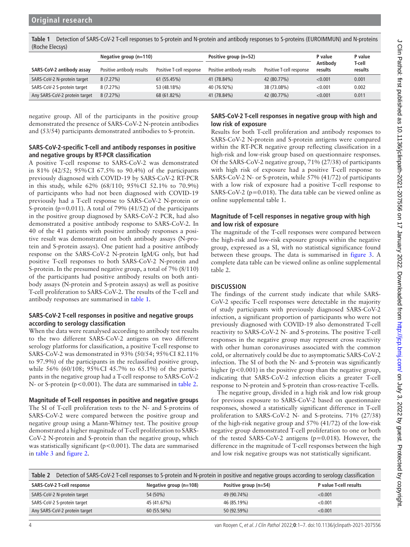<span id="page-3-0"></span>**Table 1** Detection of SARS-CoV-2 T-cell responses to S-protein and N-protein and antibody responses to S-proteins (EUROIMMUN) and N-proteins (Roche Elecsys)

|                               | Negative group $(n=110)$  |                          | Positive group (n=52)     |                          | P value             | P value           |
|-------------------------------|---------------------------|--------------------------|---------------------------|--------------------------|---------------------|-------------------|
| SARS-CoV-2 antibody assay     | Positive antibody results | Positive T-cell response | Positive antibody results | Positive T-cell response | Antibody<br>results | T-cell<br>results |
| SARS-CoV-2 N-protein target   | 8(7.27%)                  | 61 (55.45%)              | 41 (78.84%)               | 42 (80.77%)              | < 0.001             | 0.001             |
| SARS-CoV-2 S-protein target   | 8(7.27%)                  | 53 (48.18%)              | 40 (76.92%)               | 38 (73.08%)              | < 0.001             | 0.002             |
| Any SARS-CoV-2 protein target | 8(7.27%)                  | 68 (61.82%)              | 41 (78.84%)               | 42 (80.77%)              | < 0.001             | 0.011             |

negative group. All of the participants in the positive group demonstrated the presence of SARS-CoV-2 N-protein antibodies and (53/54) participants demonstrated antibodies to S-protein.

### **SARS-CoV-2-specific T-cell and antibody responses in positive and negative groups by RT-PCR classification**

A positive T-cell response to SARS-CoV-2 was demonstrated in 81% (42/52; 95%CI 67.5% to 90.4%) of the participants previously diagnosed with COVID-19 by SARS-CoV-2 RT-PCR in this study, while 62% (68/110; 95%CI 52.1% to 70.9%) of participants who had not been diagnosed with COVID-19 previously had a T-cell response to SARS-CoV-2 N-protein or S-protein (p=0.011). A total of 79% (41/52) of the participants in the positive group diagnosed by SARS-CoV-2 PCR, had also demonstrated a positive antibody response to SARS-CoV-2. In 40 of the 41 patients with positive antibody responses a positive result was demonstrated on both antibody assays (N-protein and S-protein assays). One patient had a positive antibody response on the SARS-CoV-2 N-protein IgM/G only, but had positive T-cell responses to both SARS-CoV-2 N-protein and S-protein. In the presumed negative group, a total of 7% (8/110) of the participants had positive antibody results on both antibody assays (N-protein and S-protein assays) as well as positive T-cell proliferation to SARS-CoV-2. The results of the T-cell and antibody responses are summarised in [table](#page-3-0) 1.

# **SARS-CoV-2 T-cell responses in positive and negative groups according to serology classification**

When the data were reanalysed according to antibody test results to the two different SARS-CoV-2 antigens on two different serology platforms for classification, a positive T-cell response to SARS-CoV-2 was demonstrated in 93% (50/54; 95%CI 82.11% to 97.9%) of the participants in the reclassified positive group, while 56% (60/108; 95%CI 45.7% to 65.1%) of the participants in the negative group had a T-cell response to SARS-CoV-2 N- or S-protein (p<0.001). The data are summarised in [table](#page-3-1) 2.

**Magnitude of T-cell responses in positive and negative groups** The SI of T-cell proliferation tests to the N- and S-proteins of SARS-CoV-2 were compared between the positive group and negative group using a Mann-Whitney test. The positive group demonstrated a higher magnitude of T-cell proliferation to SARS-CoV-2 N-protein and S-protein than the negative group, which was statistically significant ( $p$ <0.001). The data are summarised in [table](#page-4-0) 3 and [figure](#page-4-1) 2.

# **SARS-CoV-2 T-cell responses in negative group with high and low risk of exposure**

Results for both T-cell proliferation and antibody responses to SARS-CoV-2 N-protein and S-protein antigens were compared within the RT-PCR negative group reflecting classification in a high-risk and low-risk group based on questionnaire responses. Of the SARS-CoV-2 negative group, 71% (27/38) of participants with high risk of exposure had a positive T-cell response to SARS-CoV-2 N- or S-protein, while 57% (41/72) of participants with a low risk of exposure had a positive T-cell response to SARS-CoV-2 ( $p=0.018$ ). The data table can be viewed online as [online supplemental table 1](https://dx.doi.org/10.1136/jclinpath-2021-207556).

## **Magnitude of T-cell responses in negative group with high and low risk of exposure**

The magnitude of the T-cell responses were compared between the high-risk and low-risk exposure groups within the negative group, expressed as a SI, with no statistical significance found between these groups. The data is summarised in [figure](#page-4-2) 3. A complete data table can be viewed online as [online supplemental](https://dx.doi.org/10.1136/jclinpath-2021-207556) [table 2.](https://dx.doi.org/10.1136/jclinpath-2021-207556)

# **DISCUSSION**

The findings of the current study indicate that while SARS-CoV-2 specific T-cell responses were detectable in the majority of study participants with previously diagnosed SARS-CoV-2 infection, a significant proportion of participants who were not previously diagnosed with COVID-19 also demonstrated T-cell reactivity to SARS-CoV-2 N- and S-proteins. The positive T-cell responses in the negative group may represent cross reactivity with other human coronaviruses associated with the common cold, or alternatively could be due to asymptomatic SARS-CoV-2 infection. The SI of both the N- and S-protein was significantly higher ( $p < 0.001$ ) in the positive group than the negative group, indicating that SARS-CoV-2 infection elicits a greater T-cell response to N-protein and S-protein than cross-reactive T-cells.

The negative group, divided in a high risk and low risk group for previous exposure to SARS-CoV-2 based on questionnaire responses, showed a statistically significant difference in T-cell proliferation to SARS-CoV-2 N- and S-proteins. 71% (27/38) of the high-risk negative group and 57% (41/72) of the low-risk negative group demonstrated T-cell proliferation to one or both of the tested SARS-CoV-2 antigens (p=0.018). However, the difference in the magnitude of T-cell responses between the high and low risk negative groups was not statistically significant.

<span id="page-3-1"></span>

| Table 2<br>Detection of SARS-CoV-2 T-cell responses to S-protein and N-protein in positive and negative groups according to serology classification |                        |                       |                        |  |
|-----------------------------------------------------------------------------------------------------------------------------------------------------|------------------------|-----------------------|------------------------|--|
| SARS-CoV-2 T-cell response                                                                                                                          | Negative group (n=108) | Positive group (n=54) | P value T-cell results |  |
| SARS-CoV-2 N-protein target                                                                                                                         | 54 (50%)               | 49 (90.74%)           | < 0.001                |  |
| SARS-CoV-2 S-protein target                                                                                                                         | 45 (41.67%)            | 46 (85.19%)           | < 0.001                |  |
| Any SARS-CoV-2 protein target                                                                                                                       | 60 (55.56%)            | 50 (92.59%)           | < 0.001                |  |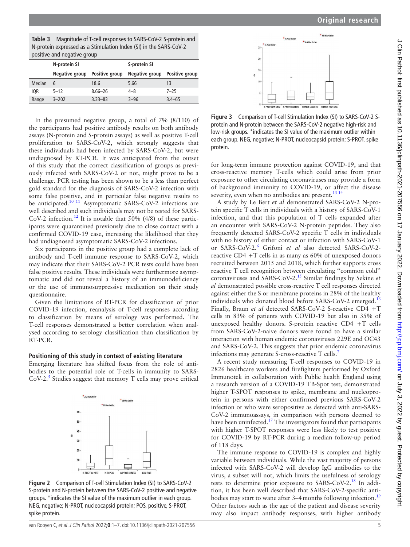<span id="page-4-0"></span>

| $\mathbf{r}$ , and a section of the section of the section of the section of the section of the section of the section of the section of the section of the section of the section of the section of the section of the section o |                               |             |                               |            |  |
|-----------------------------------------------------------------------------------------------------------------------------------------------------------------------------------------------------------------------------------|-------------------------------|-------------|-------------------------------|------------|--|
|                                                                                                                                                                                                                                   | N-protein SI                  |             | S-protein SI                  |            |  |
|                                                                                                                                                                                                                                   | Negative group Positive group |             | Negative group Positive group |            |  |
| Median                                                                                                                                                                                                                            | 6                             | 18.6        | 5.66                          | 13         |  |
| <b>IOR</b>                                                                                                                                                                                                                        | $5 - 12$                      | $8.66 - 26$ | $4 - 8$                       | $7 - 25$   |  |
| Range                                                                                                                                                                                                                             | $3 - 202$                     | $3.33 - 83$ | $3 - 96$                      | $3.4 - 65$ |  |

In the presumed negative group, a total of 7% (8/110) of the participants had positive antibody results on both antibody assays (N-protein and S-protein assays) as well as positive T-cell proliferation to SARS-CoV-2, which strongly suggests that these individuals had been infected by SARS-CoV-2, but were undiagnosed by RT-PCR. It was anticipated from the outset of this study that the correct classification of groups as previously infected with SARS-CoV-2 or not, might prove to be a challenge. PCR testing has been shown to be a less than perfect gold standard for the diagnosis of SARS-CoV-2 infection with some false positive, and in particular false negative results to be anticipated.<sup>10 11</sup> Asymptomatic SARS-CoV-2 infections are well described and such individuals may not be tested for SARS-CoV-2 infection.<sup>12</sup> It is notable that  $50\%$  (4/8) of these participants were quarantined previously due to close contact with a confirmed COVID-19 case, increasing the likelihood that they had undiagnosed asymptomatic SARS-CoV-2 infections.

Six participants in the positive group had a complete lack of antibody and T-cell immune response to SARS-CoV-2, which may indicate that their SARS-CoV-2 PCR tests could have been false positive results. These individuals were furthermore asymptomatic and did not reveal a history of an immunodeficiency or the use of immunosuppressive medication on their study questionnaire.

Given the limitations of RT-PCR for classification of prior COVID-19 infection, reanalysis of T-cell responses according to classification by means of serology was performed. The T-cell responses demonstrated a better correlation when analysed according to serology classification than classification by RT-PCR.

#### **Positioning of this study in context of existing literature**

Emerging literature has shifted focus from the role of antibodies to the potential role of T-cells in immunity to SARS- $CoV-2<sup>5</sup>$  $CoV-2<sup>5</sup>$  $CoV-2<sup>5</sup>$  Studies suggest that memory T cells may prove critical

<span id="page-4-1"></span>

**Figure 2** Comparison of T-cell Stimulation Index (SI) to SARS-CoV-2 S-protein and N-protein between the SARS-CoV-2 positive and negative groups. \*indicates the SI value of the maximum outlier in each group. NEG, negative; N-PROT, nucleocapsid protein; POS, positive, S-PROT, spike protein.



<span id="page-4-2"></span>

**Figure 3** Comparison of T-cell Stimulation Index (SI) to SARS-CoV-2 Sprotein and N-protein between the SARS-CoV-2 negative high-risk and low-risk groups. \*indicates the SI value of the maximum outlier within each group. NEG, negative; N-PROT, nucleocapsid protein; S-PROT, spike protein.

for long-term immune protection against COVID-19, and that cross-reactive memory T-cells which could arise from prior exposure to other circulating coronaviruses may provide a form of background immunity to COVID-19, or affect the disease severity, even when no antibodies are present.<sup>13 14</sup>

A study by Le Bert *et al* demonstrated SARS-CoV-2 N-protein specific T cells in individuals with a history of SARS-CoV-1 infection, and that this population of T cells expanded after an encounter with SARS-CoV-2 N-protein peptides. They also frequently detected SARS-CoV-2 specific T cells in individuals with no history of either contact or infection with SARS-CoV-1 or SARS-CoV-2.[6](#page-6-5) Grifoni *et al* also detected SARS-CoV-2 reactive CD4 +T cells in as many as 60% of unexposed donors recruited between 2015 and 2018, which further supports cross reactive T cell recognition between circulating ''common cold'' coronaviruses and SARS-CoV-2.[15](#page-6-11) Similar findings by Sekine *et al* demonstrated possible cross-reactive T cell responses directed against either the S or membrane proteins in 28% of the healthy individuals who donated blood before SARS-CoV-2 emerged.<sup>[16](#page-6-12)</sup> Finally, Braun *et al* detected SARS-CoV-2 S-reactive CD4 +T cells in 83% of patients with COVID-19 but also in 35% of unexposed healthy donors. S-protein reactive CD4 +T cells from SARS-CoV-2-naive donors were found to have a similar interaction with human endemic coronaviruses 229E and OC43 and SARS-CoV-2. This suggests that prior endemic coronavirus infections may generate S-cross-reactive T cells.<sup>[7](#page-6-13)</sup>

A recent study measuring T-cell responses to COVID-19 in 2826 healthcare workers and firefighters performed by Oxford Immunotek in collaboration with Public health England using a research version of a COVID-19 TB-Spot test, demonstrated higher T-SPOT responses to spike, membrane and nucleoprotein in persons with either confirmed previous SARS-CoV-2 infection or who were seropositive as detected with anti-SARS-CoV-2 immunoassays, in comparison with persons deemed to have been uninfected.<sup>[17](#page-6-14)</sup> The investigators found that participants with higher T-SPOT responses were less likely to test positive for COVID-19 by RT-PCR during a median follow-up period of 118 days.

The immune response to COVID-19 is complex and highly variable between individuals. While the vast majority of persons infected with SARS-CoV-2 will develop IgG antibodies to the virus, a subset will not, which limits the usefulness of serology tests to determine prior exposure to SARS-CoV-2.<sup>18</sup> In addition, it has been well described that SARS-CoV-2-specific anti-bodies may start to wane after 3–4 months following infection.<sup>[19](#page-6-16)</sup> Other factors such as the age of the patient and disease severity may also impact antibody responses, with higher antibody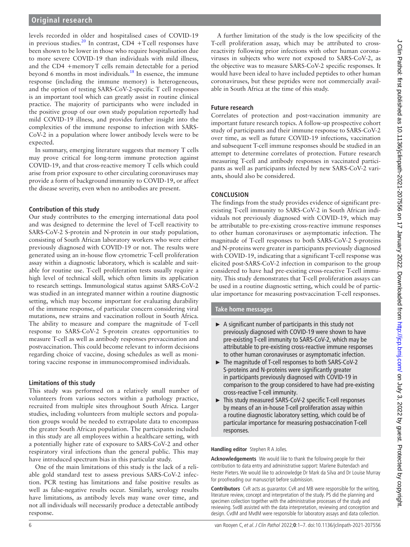levels recorded in older and hospitalised cases of COVID-19 in previous studies.<sup>20</sup> In contrast, CD4 +T cell responses have been shown to be lower in those who require hospitalisation due to more severe COVID-19 than individuals with mild illness, and the CD4 +memoryT cells remain detectable for a period beyond 6 months in most individuals. $18$  In essence, the immune response (including the immune memory) is heterogeneous, and the option of testing SARS-CoV-2-specific T cell responses is an important tool which can greatly assist in routine clinical practice. The majority of participants who were included in the positive group of our own study population reportedly had mild COVID-19 illness, and provides further insight into the complexities of the immune response to infection with SARS-CoV-2 in a population where lower antibody levels were to be expected.

In summary, emerging literature suggests that memory T cells may prove critical for long-term immune protection against COVID-19, and that cross-reactive memory T cells which could arise from prior exposure to other circulating coronaviruses may provide a form of background immunity to COVID-19, or affect the disease severity, even when no antibodies are present.

# **Contribution of this study**

Our study contributes to the emerging international data pool and was designed to determine the level of T-cell reactivity to SARS-CoV-2 S-protein and N-protein in our study population, consisting of South African laboratory workers who were either previously diagnosed with COVID-19 or not. The results were generated using an in-house flow cytometric T-cell proliferation assay within a diagnostic laboratory, which is scalable and suitable for routine use. T-cell proliferation tests usually require a high level of technical skill, which often limits its application to research settings. Immunological status against SARS-CoV-2 was studied in an integrated manner within a routine diagnostic setting, which may become important for evaluating durability of the immune response, of particular concern considering viral mutations, new strains and vaccination rollout in South Africa. The ability to measure and compare the magnitude of T-cell response to SARS-CoV-2 S-protein creates opportunities to measure T-cell as well as antibody responses prevaccination and postvaccination. This could become relevant to inform decisions regarding choice of vaccine, dosing schedules as well as monitoring vaccine response in immunocompromised individuals.

## **Limitations of this study**

This study was performed on a relatively small number of volunteers from various sectors within a pathology practice, recruited from multiple sites throughout South Africa. Larger studies, including volunteers from multiple sectors and population groups would be needed to extrapolate data to encompass the greater South African population. The participants included in this study are all employees within a healthcare setting, with a potentially higher rate of exposure to SARS-CoV-2 and other respiratory viral infections than the general public. This may have introduced spectrum bias in this particular study.

One of the main limitations of this study is the lack of a reliable gold standard test to assess previous SARS-CoV-2 infection. PCR testing has limitations and false positive results as well as false-negative results occur. Similarly, serology results have limitations, as antibody levels may wane over time, and not all individuals will necessarily produce a detectable antibody response.

A further limitation of the study is the low specificity of the T-cell proliferation assay, which may be attributed to crossreactivity following prior infections with other human coronaviruses in subjects who were not exposed to SARS-CoV-2, as the objective was to measure SARS-CoV-2 specific responses. It would have been ideal to have included peptides to other human coronaviruses, but these peptides were not commercially available in South Africa at the time of this study.

# **Future research**

Correlates of protection and post-vaccination immunity are important future research topics. A follow-up prospective cohort study of participants and their immune response to SARS-CoV-2 over time, as well as future COVID-19 infections, vaccination and subsequent T-cell immune responses should be studied in an attempt to determine correlates of protection. Future research measuring T-cell and antibody responses in vaccinated participants as well as participants infected by new SARS-CoV-2 variants, should also be considered.

# **CONCLUSION**

The findings from the study provides evidence of significant preexisting T-cell immunity to SARS-CoV-2 in South African individuals not previously diagnosed with COVID-19, which may be attributable to pre-existing cross-reactive immune responses to other human coronaviruses or asymptomatic infection. The magnitude of T-cell responses to both SARS-CoV-2 S-proteins and N-proteins were greater in participants previously diagnosed with COVID-19, indicating that a significant T-cell response was elicited post-SARS-CoV-2 infection in comparison to the group considered to have had pre-existing cross-reactive T-cell immunity. This study demonstrates that T-cell proliferation assays can be used in a routine diagnostic setting, which could be of particular importance for measuring postvaccination T-cell responses.

## **Take home messages**

- $\triangleright$  A significant number of participants in this study not previously diagnosed with COVID-19 were shown to have pre-existing T-cell immunity to SARS-CoV-2, which may be attributable to pre-existing cross-reactive immune responses to other human coronaviruses or asymptomatic infection.
- ► The magnitude of T-cell responses to both SARS-CoV-2 S-proteins and N-proteins were significantly greater in participants previously diagnosed with COVID-19 in comparison to the group considered to have had pre-existing cross-reactive T-cell immunity.
- ► This study measured SARS-CoV-2 specific T-cell responses by means of an in-house T-cell proliferation assay within a routine diagnostic laboratory setting, which could be of particular importance for measuring postvaccination T-cell responses.

**Handling editor** Stephen R A Jolles.

**Acknowledgements** We would like to thank the following people for their contribution to data entry and administrative support: Marlene Buitendach and Hester Pieters. We would like to acknowledge Dr Mark da Silva and Dr Louise Murray for proofreading our manuscript before submission.

**Contributors** CvR acts as guarantor. CvR and MB were responsible for the writing, literature review, concept and interpretation of the study. PS did the planning and specimen collection together with the administrative processes of the study and reviewing. SvdB assisted with the data interpretation, reviewing and conception and design. CvdM and MvdM were responsible for laboratory assays and data collection.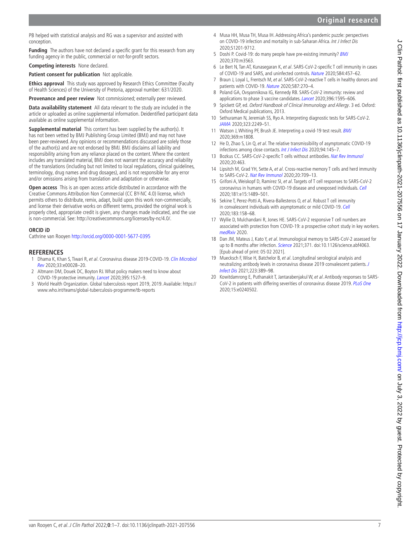#### PB helped with statistical analysis and RG was a supervisor and assisted with conception.

**Funding** The authors have not declared a specific grant for this research from any funding agency in the public, commercial or not-for-profit sectors.

**Competing interests** None declared.

**Patient consent for publication** Not applicable.

**Ethics approval** This study was approved by Research Ethics Committee (Faculty of Health Sciences) of the University of Pretoria, approval number: 631/2020.

**Provenance and peer review** Not commissioned; externally peer reviewed.

**Data availability statement** All data relevant to the study are included in the article or uploaded as online supplemental information. Deidentified participant data available as online supplemental information.

**Supplemental material** This content has been supplied by the author(s). It has not been vetted by BMJ Publishing Group Limited (BMJ) and may not have been peer-reviewed. Any opinions or recommendations discussed are solely those of the author(s) and are not endorsed by BMJ. BMJ disclaims all liability and responsibility arising from any reliance placed on the content. Where the content includes any translated material, BMJ does not warrant the accuracy and reliability of the translations (including but not limited to local regulations, clinical guidelines, terminology, drug names and drug dosages), and is not responsible for any error and/or omissions arising from translation and adaptation or otherwise.

**Open access** This is an open access article distributed in accordance with the Creative Commons Attribution Non Commercial (CC BY-NC 4.0) license, which permits others to distribute, remix, adapt, build upon this work non-commercially, and license their derivative works on different terms, provided the original work is properly cited, appropriate credit is given, any changes made indicated, and the use is non-commercial. See: <http://creativecommons.org/licenses/by-nc/4.0/>.

#### **ORCID iD**

Cathrine van Rooyen<http://orcid.org/0000-0001-5677-0395>

#### **REFERENCES**

- <span id="page-6-0"></span>Dhama K, Khan S, Tiwari R, et al. Coronavirus disease 2019-COVID-19. Clin Microbiol [Rev](http://dx.doi.org/10.1128/CMR.00028-20) 2020;33:e00028–20.
- <span id="page-6-1"></span>2 Altmann DM, Douek DC, Boyton RJ. What policy makers need to know about COVID-19 protective immunity. [Lancet](http://dx.doi.org/10.1016/S0140-6736(20)30985-5) 2020;395:1527–9.
- <span id="page-6-2"></span>3 World Health Organization. Global tuberculosis report 2019, 2019. Available: [https://](https://www.who.int/teams/global-tuberculosis-programme/tb-reports) [www.who.int/teams/global-tuberculosis-programme/tb-reports](https://www.who.int/teams/global-tuberculosis-programme/tb-reports)
- <span id="page-6-3"></span>4 Musa HH, Musa TH, Musa IH. Addressing Africa's pandemic puzzle: perspectives on COVID-19 infection and mortality in sub-Saharan Africa. Int J Infect Dis 2020;S1201-9712.
- <span id="page-6-4"></span>5 Doshi P. Covid-19: do many people have pre-existing immunity? [BMJ](http://dx.doi.org/10.1136/bmj.m3563) 2020;370:m3563.
- <span id="page-6-5"></span>6 Le Bert N, Tan AT, Kunasegaran K, et al. SARS-CoV-2-specific T cell immunity in cases of COVID-19 and SARS, and uninfected controls. [Nature](http://dx.doi.org/10.1038/s41586-020-2550-z) 2020;584:457–62.
- <span id="page-6-13"></span>7 Braun J, Loyal L, Frentsch M, et al. SARS-CoV-2-reactive T cells in healthy donors and patients with COVID-19. [Nature](http://dx.doi.org/10.1038/s41586-020-2598-9) 2020;587:270–4.
- <span id="page-6-6"></span>8 Poland GA, Ovsyannikova IG, Kennedy RB. SARS-CoV-2 immunity: review and applications to phase 3 vaccine candidates. [Lancet](http://dx.doi.org/10.1016/S0140-6736(20)32137-1) 2020;396:1595–606.
- <span id="page-6-7"></span>9 Spickett GP, ed. Oxford Handbook of Clinical Immunology and Allergy. 3 ed. Oxford: Oxford Medical publications, 2013.
- <span id="page-6-8"></span>10 Sethuraman N, Jeremiah SS, Ryo A. Interpreting diagnostic tests for SARS-CoV-2. [JAMA](http://dx.doi.org/10.1001/jama.2020.8259) 2020;323:2249–51.
- 11 Watson J, Whiting PF, Brush JE. Interpreting a covid-19 test result. **[BMJ](http://dx.doi.org/10.1136/bmj.m1808)** 2020;369:m1808.
- <span id="page-6-9"></span>12 He D, Zhao S, Lin Q, et al. The relative transmissibility of asymptomatic COVID-19 infections among close contacts. *[Int J Infect Dis](http://dx.doi.org/10.1016/j.ijid.2020.04.034)* 2020:94:145-7.
- <span id="page-6-10"></span>13 Bozkus CC. SARS-CoV-2-specific T cells without antibodies. [Nat Rev Immunol](http://dx.doi.org/10.1038/s41577-020-0393-3) 2020;20:463.
- 14 Lipsitch M, Grad YH, Sette A, et al. Cross-reactive memory T cells and herd immunity to SARS-CoV-2. [Nat Rev Immunol](http://dx.doi.org/10.1038/s41577-020-00460-4) 2020;20:709–13.
- <span id="page-6-11"></span>15 Grifoni A, Weiskopf D, Ramirez SI, et al. Targets of T cell responses to SARS-CoV-2 coronavirus in humans with COVID-19 disease and unexposed individuals. [Cell](http://dx.doi.org/10.1016/j.cell.2020.05.015) 2020;181:e15:1489–501.
- <span id="page-6-12"></span>16 Sekine T, Perez-Potti A, Rivera-Ballesteros O, et al. Robust T cell immunity in convalescent individuals with asymptomatic or mild COVID-19. [Cell](http://dx.doi.org/10.1016/j.cell.2020.08.017) 2020;183:158–68.
- <span id="page-6-14"></span>17 Wyllie D, Mulchandani R, Jones HE. SARS-CoV-2 responsive T cell numbers are associated with protection from COVID-19: a prospective cohort study in key workers. [medRxiv](http://dx.doi.org/10.1101/2020.11.02.20222778) 2020
- <span id="page-6-15"></span>18 Dan JM, Mateus J, Kato Y, et al. Immunological memory to SARS-CoV-2 assessed for up to 8 months after infection. [Science](http://dx.doi.org/10.1126/science.abf4063) 2021;371. doi:10.1126/science.abf4063. [Epub ahead of print: 05 02 2021].
- <span id="page-6-16"></span>19 Muecksch F, Wise H, Batchelor B, et al. Longitudinal serological analysis and neutralizing antibody levels in coronavirus disease 2019 convalescent patients. [J](http://dx.doi.org/10.1093/infdis/jiaa659)  [Infect Dis](http://dx.doi.org/10.1093/infdis/jiaa659) 2021;223:389–98.
- <span id="page-6-17"></span>20 Kowitdamrong E, Puthanakit T, Jantarabenjakul W, et al. Antibody responses to SARS-CoV-2 in patients with differing severities of coronavirus disease 2019. [PLoS One](http://dx.doi.org/10.1371/journal.pone.0240502) 2020;15:e0240502.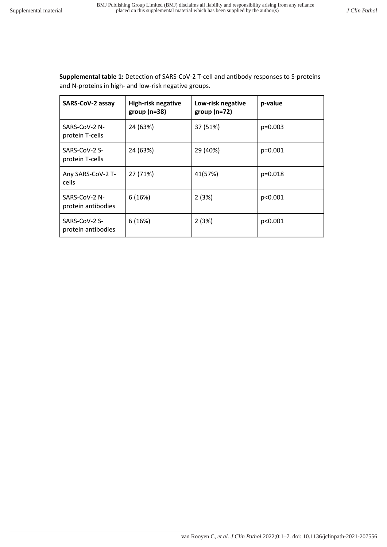**Supplemental table 1:** Detection of SARS-CoV-2 T-cell and antibody responses to S-proteins and N-proteins in high- and low-risk negative groups.

| SARS-CoV-2 assay                    | High-risk negative<br>group ( $n=38$ ) | Low-risk negative<br>$group(n=72)$ | p-value   |
|-------------------------------------|----------------------------------------|------------------------------------|-----------|
| SARS-CoV-2 N-<br>protein T-cells    | 24 (63%)                               | 37 (51%)                           | $p=0.003$ |
| SARS-CoV-2 S-<br>protein T-cells    | 24 (63%)                               | 29 (40%)                           | $p=0.001$ |
| Any SARS-CoV-2 T-<br>cells          | 27 (71%)                               | 41(57%)                            | p=0.018   |
| SARS-CoV-2 N-<br>protein antibodies | 6(16%)                                 | 2(3%)                              | p<0.001   |
| SARS-CoV-2 S-<br>protein antibodies | 6(16%)                                 | 2(3%)                              | p<0.001   |